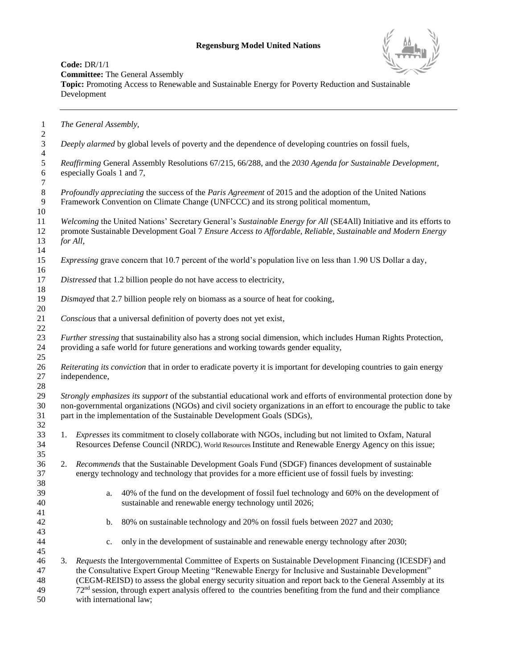## **Regensburg Model United Nations**



**Code:** DR/1/1 **Committee:** The General Assembly

**Topic:** Promoting Access to Renewable and Sustainable Energy for Poverty Reduction and Sustainable Development

 *The General Assembly,*  $rac{2}{3}$  *Deeply alarmed* by global levels of poverty and the dependence of developing countries on fossil fuels,  $\frac{4}{5}$  *Reaffirming* General Assembly Resolutions 67/215, 66/288, and the *2030 Agenda for Sustainable Development*, especially Goals 1 and 7, *Profoundly appreciating* the success of the *Paris Agreement* of 2015 and the adoption of the United Nations<br> **Pramework Convention on Climate Change (UNFCCC)** and its strong political momentum, Framework Convention on Climate Change (UNFCCC) and its strong political momentum, *Welcoming* the United Nations' Secretary General's *Sustainable Energy for All* (SE4All) Initiative and its efforts to promote Sustainable Development Goal 7 *Ensure Access to Affordable, Reliable, Sustainable and Modern Energy for All, Expressing* grave concern that 10.7 percent of the world's population live on less than 1.90 US Dollar a day, *Distressed* that 1.2 billion people do not have access to electricity, *Dismayed* that 2.7 billion people rely on biomass as a source of heat for cooking, *Conscious* that a universal definition of poverty does not yet exist, *Further stressing* that sustainability also has a strong social dimension, which includes Human Rights Protection, providing a safe world for future generations and working towards gender equality, *Reiterating its conviction* that in order to eradicate poverty it is important for developing countries to gain energy independence,  $\frac{28}{29}$  *Strongly emphasizes its support* of the substantial educational work and efforts of environmental protection done by non-governmental organizations (NGOs) and civil society organizations in an effort to encourage the public to take part in the implementation of the Sustainable Development Goals (SDGs), 1. *Expresses* its commitment to closely collaborate with NGOs, including but not limited to Oxfam, Natural Resources Defense Council (NRDC), World Resources Institute and Renewable Energy Agency on this issue; 2. *Recommends* that the Sustainable Development Goals Fund (SDGF) finances development of sustainable energy technology and technology that provides for a more efficient use of fossil fuels by investing: a. 40% of the fund on the development of fossil fuel technology and 60% on the development of sustainable and renewable energy technology until 2026; b. 80% on sustainable technology and 20% on fossil fuels between 2027 and 2030; c. only in the development of sustainable and renewable energy technology after 2030; 3. *Requests* the Intergovernmental Committee of Experts on Sustainable Development Financing (ICESDF) and the Consultative Expert Group Meeting "Renewable Energy for Inclusive and Sustainable Development" (CEGM-REISD) to assess the global energy security situation and report back to the General Assembly at its  $72<sup>nd</sup>$  session, through expert analysis offered to the countries benefiting from the fund and their compliance with international law;